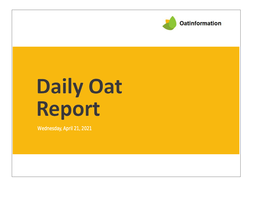

# Daily Oat Report

Wednesday, April 21, 2021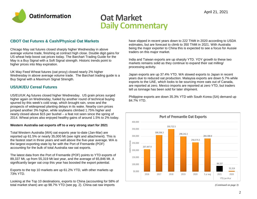

### **Oat Market Daily Commentary**

#### **CBOT Oat Futures & Cash/Physical Oat Markets**

Chicago May oat futures closed sharply higher Wednesday in above average volume trade, finishing at contract high close. Double digit gains for US wheat help boost oat prices today. The Barchart Trading Guide for the May is a Buy Signal with a Soft Signal strength. Historic trends point to higher prices into May expiration.

UK May Feed Wheat futures (oat proxy) closed nearly 2% higher Wednesday in above average volume trade. The Barchart trading guide is a Buy Signal with a Maximum Signal Strength.

#### **US/UK/EU Cereal Futures**

US/EU/UK Ag futures closed higher Wednesday. US grain prices surged higher again on Wednesday, fueled by another round of technical buying spurred by this week's cold snap, which brought rain, snow and the prospects of widespread planting delays in its wake. Nearby corn prices jumped another 3% higher, while soybeans climbed 1.75% higher and nearly closed above \$15 per bushel – a feat not seen since the spring of 2014. Wheat prices also enjoyed healthy gains of around 1.5% to 2% today.

#### **Western Australia oat exports off to a very strong start for 2021**

Total Western Australia (WA) oat exports year to-date (Jan-Mar) are reported up 61.5% or nearly 35,000 Mt (see right and attachment). This is the fastest start in three years and well above the five-year average. WA is the largest exporting state by far with the Port of Fremantle (POF) accounting for the bulk of total Australia raw oat exports.

The latest data from the Port of Fremantle (POF) points to YTD exports of 89,337 Mt, up from 55,319 Mt last year, and the average of 65,846 Mt. A significantly larger oat crop this year has boosted the export potential.

Exports to the top 10 markets are up 61.2% YTD, with other markets up 73% YTD.

Looking at the Top 10 destinations, exports to China (accounting for 58% of total market share) are up 98.7% YTD (see pg. 2). China oat raw imports

have slipped in recent years down to 222 ThMt in 2020 according to USDA estimates, but are forecast to climb to 350 ThMt in 2021. With Australia being the major exporter to China this is expected to see a focus for Aussie traders on this major market.

India and Taiwan exports are up sharply YTD. YOY growth to these two markets remains solid as they continue to expand their oat milling/ processing activity.

Japan exports are up 37.4% YTD. WA slowed exports to Japan in recent years due to reduced oat production. Malaysia exports are down 5.7% while exports to the UAE, which looks to be sourcing more oats out of Canada, are reported at zero. Mexico imports are reported at zero YTD, but traders tell us tonnage has been sold for later shipment.

Philippine exports are down 35.3% YTD with South Korea (SA) demand up 84.7% YTD.



*(Continued on page 3)*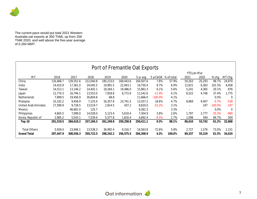

The current pace would put total 2021 Western Australia oat exports at 350 ThMt, up from 256 ThMt 2020, and well above the five-year average of 0.284 MMT.

| Port of Fremantle Oat Exports |           |             |           |           |           |           |           |            |                          |                          |            |          |
|-------------------------------|-----------|-------------|-----------|-----------|-----------|-----------|-----------|------------|--------------------------|--------------------------|------------|----------|
|                               |           | YTD Jan-Mar |           |           |           |           |           |            |                          |                          |            |          |
| MT                            | 2016      | 2017        | 2018      | 2019      | 2020      | 5 yr avg  | 5 yrCAGR  | % of total | 2021                     | 2020                     | $%$ chg    | MT Chg   |
| China                         | 116,468.7 | 139,351.6   | 212,040.8 | 185,233.0 | 169,443.6 | 164,507.6 | 7.8%      | 57.9%      | 50,263                   | 25,293                   | 98.7%      | 24,970   |
| India                         | 14,410.9  | 17,361.0    | 24,045.5  | 19.991.5  | 22,943.1  | 19,750.4  | 9.7%      | 6.9%       | 12,821                   | 6,363                    | 101.5%     | 6,458    |
| Taiwan                        | 14,513.1  | 13,146.2    | 14,402.1  | 18,264.1  | 19,486.0  | 15,962.3  | 6.1%      | 5.6%       | 5,241                    | 4,365                    | 20.1%      | 876      |
| Japan                         | 12,774.3  | 16,794.1    | 13,553.0  | 7,818.8   | 6,772.6   | 11,542.6  | $-11.9%$  | 4.1%       | 6,522                    | 4,746                    | 37.4%      | 1,775    |
| <b>Netherlands</b>            | 7.999.5   | 19,456.9    | 30,804.6  | 68.8      |           | 11,666.0  | $-100.0%$ | 4.1%       |                          | $\overline{\phantom{a}}$ | 0.0%       | $\Omega$ |
| Malaysia                      | 10,102.2  | 9,458.9     | 7,125.4   | 16,357.8  | 23,741.5  | 13,357.2  | 18.6%     | 4.7%       | 8,869                    | 9,407                    | $-5.7%$    | $-538$   |
| United Arab Emirates          | 17,599.9  | 9,728.5     | 13,519.7  | 2,814.5   | 437.2     | 8,820.0   | $-52.2%$  | 3.1%       | $\overline{\phantom{a}}$ | 197                      | $-100.0\%$ | $-197$   |
| Mexico                        |           | 46,681.0    | 125.7     |           |           | 9,361.3   |           | 3.3%       |                          | $\overline{\phantom{a}}$ | 0.0%       | $\Omega$ |
| Philippines                   | 4.665.5   | 7.089.0     | 14,028.0  | 5,123.4   | 5.618.4   | 7.304.9   | 3.8%      | 2.6%       | 1.797                    | 2.777                    | $-35.3%$   | $-980$   |
| Korea, Republic of            | 2,985.2   | 5,543.1     | 7,539.4   | 5,577.8   | 816.4 ا   | 4,692.4   | $-9.5%$   | 1.7%       | 1,098                    | 594                      | 84.7%      | 504      |
| Top 10                        | 201,519.5 | 284.610.2   | 337,184.3 | 261,249.8 | 250,258.8 | 250,411.1 | 9.3%      | 88.1%      | 86,610                   | 53,742                   | 61.2%      | 32,868   |
|                               |           |             |           |           |           |           |           |            |                          |                          |            |          |
| <b>Total Others</b>           | 5.928.4   | 23.946.1    | 13,538.3  | 36.992.4  | 6,316.7   | 16,563.8  | 72.6%     | 5.8%       | 2,727                    | 1.576                    | 73.0%      | 1,151    |
| <b>Grand Total</b>            | 207.447.9 | 308,556.3   | 350,722.5 | 298,242.2 | 256,575.5 | 284,308.9 | 4.3%      | 100.0%     | 89,337                   | 55,319                   | 61.5%      | 34,019   |

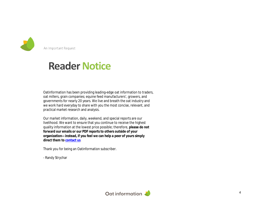

An Important Request

## **Reader Notice**

Oatinformation has been providing leading-edge oat information to traders, oat millers, grain companies; equine feed manufacturers', growers, and governments for nearly 20 years. We live and breath the oat industry and we work hard everyday to share with you the most concise, relevant, and practical market research and analysis.

Our market information, daily, weekend, and special reports are our livelihood. We want to ensure that you continue to receive the highest quality information at the lowest price possible; therefore, **please do not forward our emails or our PDF reports to others outside of your organization—instead, if you feel we can help a peer of yours simply direct them to contact us**.

Thank you for being an Oatinformation subscriber.

- Randy Strychar